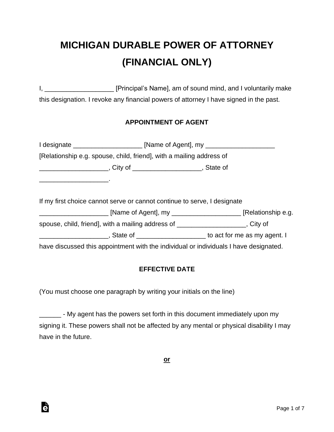# **MICHIGAN DURABLE POWER OF ATTORNEY (FINANCIAL ONLY)**

I, \_\_\_\_\_\_\_\_\_\_\_\_\_\_\_\_\_\_\_\_\_\_\_ [Principal's Name], am of sound mind, and I voluntarily make this designation. I revoke any financial powers of attorney I have signed in the past.

## **APPOINTMENT OF AGENT**

|                                                                                                                      | I designate ___________________________ [Name of Agent], my ____________________            |  |
|----------------------------------------------------------------------------------------------------------------------|---------------------------------------------------------------------------------------------|--|
|                                                                                                                      | [Relationship e.g. spouse, child, friend], with a mailing address of                        |  |
|                                                                                                                      | _____________________________, City of _______________________________, State of            |  |
| <u> Alexandria de la contrada de la contrada de la contrada de la contrada de la contrada de la contrada de la c</u> |                                                                                             |  |
|                                                                                                                      | If my first choice cannot serve or cannot continue to serve, I designate                    |  |
|                                                                                                                      |                                                                                             |  |
|                                                                                                                      | spouse, child, friend], with a mailing address of ___________________, City of              |  |
|                                                                                                                      | __________________________, State of _________________________ to act for me as my agent. I |  |
|                                                                                                                      | have discussed this appointment with the individual or individuals I have designated.       |  |

# **EFFECTIVE DATE**

(You must choose one paragraph by writing your initials on the line)

Ġ

\_\_\_\_\_\_\_ - My agent has the powers set forth in this document immediately upon my signing it. These powers shall not be affected by any mental or physical disability I may have in the future.

**or**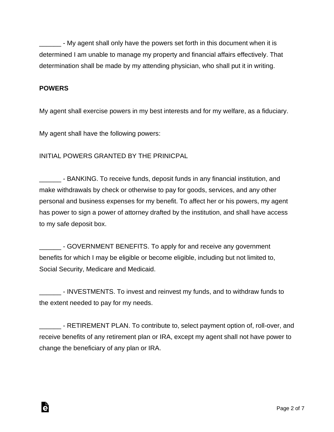- My agent shall only have the powers set forth in this document when it is determined I am unable to manage my property and financial affairs effectively. That determination shall be made by my attending physician, who shall put it in writing.

#### **POWERS**

Ġ

My agent shall exercise powers in my best interests and for my welfare, as a fiduciary.

My agent shall have the following powers:

#### INITIAL POWERS GRANTED BY THE PRINICPAL

**EXECUS** - BANKING. To receive funds, deposit funds in any financial institution, and make withdrawals by check or otherwise to pay for goods, services, and any other personal and business expenses for my benefit. To affect her or his powers, my agent has power to sign a power of attorney drafted by the institution, and shall have access to my safe deposit box.

\_\_\_\_\_\_ - GOVERNMENT BENEFITS. To apply for and receive any government benefits for which I may be eligible or become eligible, including but not limited to, Social Security, Medicare and Medicaid.

\_\_\_\_\_\_ - INVESTMENTS. To invest and reinvest my funds, and to withdraw funds to the extent needed to pay for my needs.

**EXECTIREMENT PLAN.** To contribute to, select payment option of, roll-over, and receive benefits of any retirement plan or IRA, except my agent shall not have power to change the beneficiary of any plan or IRA.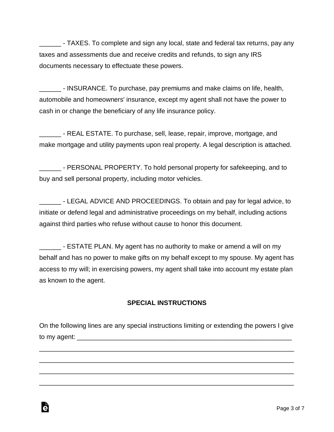\_\_\_\_\_\_ - TAXES. To complete and sign any local, state and federal tax returns, pay any taxes and assessments due and receive credits and refunds, to sign any IRS documents necessary to effectuate these powers.

**Notai** - INSURANCE. To purchase, pay premiums and make claims on life, health, automobile and homeowners' insurance, except my agent shall not have the power to cash in or change the beneficiary of any life insurance policy.

\_\_\_\_\_\_ - REAL ESTATE. To purchase, sell, lease, repair, improve, mortgage, and make mortgage and utility payments upon real property. A legal description is attached.

\_\_\_\_\_\_ - PERSONAL PROPERTY. To hold personal property for safekeeping, and to buy and sell personal property, including motor vehicles.

\_\_\_\_\_\_ - LEGAL ADVICE AND PROCEEDINGS. To obtain and pay for legal advice, to initiate or defend legal and administrative proceedings on my behalf, including actions against third parties who refuse without cause to honor this document.

\_\_\_\_\_\_ - ESTATE PLAN. My agent has no authority to make or amend a will on my behalf and has no power to make gifts on my behalf except to my spouse. My agent has access to my will; in exercising powers, my agent shall take into account my estate plan as known to the agent.

# **SPECIAL INSTRUCTIONS**

On the following lines are any special instructions limiting or extending the powers I give to my agent:  $\blacksquare$ 

\_\_\_\_\_\_\_\_\_\_\_\_\_\_\_\_\_\_\_\_\_\_\_\_\_\_\_\_\_\_\_\_\_\_\_\_\_\_\_\_\_\_\_\_\_\_\_\_\_\_\_\_\_\_\_\_\_\_\_\_\_\_\_\_\_\_\_\_\_\_

\_\_\_\_\_\_\_\_\_\_\_\_\_\_\_\_\_\_\_\_\_\_\_\_\_\_\_\_\_\_\_\_\_\_\_\_\_\_\_\_\_\_\_\_\_\_\_\_\_\_\_\_\_\_\_\_\_\_\_\_\_\_\_\_\_\_\_\_\_\_

\_\_\_\_\_\_\_\_\_\_\_\_\_\_\_\_\_\_\_\_\_\_\_\_\_\_\_\_\_\_\_\_\_\_\_\_\_\_\_\_\_\_\_\_\_\_\_\_\_\_\_\_\_\_\_\_\_\_\_\_\_\_\_\_\_\_\_\_\_\_

\_\_\_\_\_\_\_\_\_\_\_\_\_\_\_\_\_\_\_\_\_\_\_\_\_\_\_\_\_\_\_\_\_\_\_\_\_\_\_\_\_\_\_\_\_\_\_\_\_\_\_\_\_\_\_\_\_\_\_\_\_\_\_\_\_\_\_\_\_\_

Ġ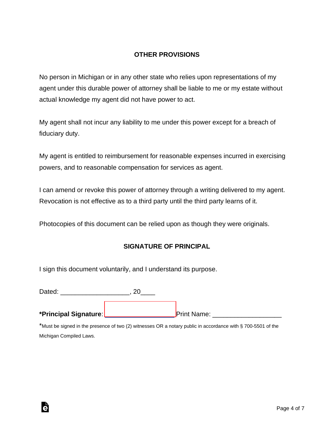#### **OTHER PROVISIONS**

No person in Michigan or in any other state who relies upon representations of my agent under this durable power of attorney shall be liable to me or my estate without actual knowledge my agent did not have power to act.

My agent shall not incur any liability to me under this power except for a breach of fiduciary duty.

My agent is entitled to reimbursement for reasonable expenses incurred in exercising powers, and to reasonable compensation for services as agent.

I can amend or revoke this power of attorney through a writing delivered to my agent. Revocation is not effective as to a third party until the third party learns of it.

Photocopies of this document can be relied upon as though they were originals.

#### **SIGNATURE OF PRINCIPAL**

I sign this document voluntarily, and I understand its purpose.

Dated:  $\qquad \qquad \qquad \qquad . \; 20$ 

Ġ

**\*Principal Signature**: [\\_\\_\\_\\_\\_\\_\\_\\_\\_\\_\\_\\_\\_\\_\\_\\_\\_\\_\\_](https://esign.com/) Print Name: \_\_\_\_\_\_\_\_\_\_\_\_\_\_\_\_\_\_\_

\*Must be signed in the presence of two (2) witnesses OR a notary public in accordance with § 700-5501 of the Michigan Compiled Laws.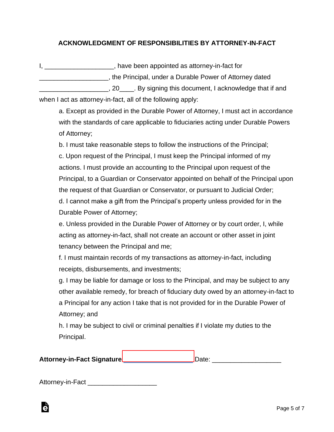## **ACKNOWLEDGMENT OF RESPONSIBILITIES BY ATTORNEY-IN-FACT**

I, \_\_\_\_\_\_\_\_\_\_\_\_\_\_\_\_\_\_\_\_, have been appointed as attorney-in-fact for \_\_\_\_\_\_\_\_\_\_\_\_\_\_\_\_\_\_\_, the Principal, under a Durable Power of Attorney dated \_\_\_\_\_\_\_\_\_\_\_\_\_\_\_\_\_\_\_, 20\_\_\_\_. By signing this document, I acknowledge that if and

when I act as attorney-in-fact, all of the following apply:

a. Except as provided in the Durable Power of Attorney, I must act in accordance with the standards of care applicable to fiduciaries acting under Durable Powers of Attorney;

b. I must take reasonable steps to follow the instructions of the Principal; c. Upon request of the Principal, I must keep the Principal informed of my actions. I must provide an accounting to the Principal upon request of the Principal, to a Guardian or Conservator appointed on behalf of the Principal upon the request of that Guardian or Conservator, or pursuant to Judicial Order; d. I cannot make a gift from the Principal's property unless provided for in the Durable Power of Attorney;

e. Unless provided in the Durable Power of Attorney or by court order, I, while acting as attorney-in-fact, shall not create an account or other asset in joint tenancy between the Principal and me;

f. I must maintain records of my transactions as attorney-in-fact, including receipts, disbursements, and investments;

g. I may be liable for damage or loss to the Principal, and may be subject to any other available remedy, for breach of fiduciary duty owed by an attorney-in-fact to a Principal for any action I take that is not provided for in the Durable Power of Attorney; and

h. I may be subject to civil or criminal penalties if I violate my duties to the Principal.

Attorney-in-Fact Signature [\\_\\_\\_\\_\\_\\_\\_\\_\\_\\_\\_\\_\\_\\_\\_\\_\\_\\_\\_](https://esign.com/)\_\_\_\_\_\_ Date: \_\_\_\_\_\_\_\_\_\_\_\_\_\_\_\_\_\_\_\_\_

Attorney-in-Fact **Example 20** 

Ġ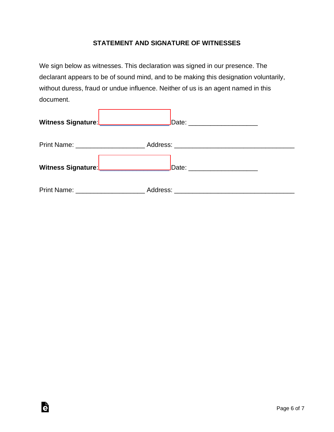#### **STATEMENT AND SIGNATURE OF WITNESSES**

We sign below as witnesses. This declaration was signed in our presence. The declarant appears to be of sound mind, and to be making this designation voluntarily, without duress, fraud or undue influence. Neither of us is an agent named in this document.

| Witness Signature: _____________________ | Date: ________________________   |
|------------------------------------------|----------------------------------|
|                                          |                                  |
|                                          |                                  |
|                                          |                                  |
| Witness Signature: _____________________ | Date: __________________________ |
|                                          |                                  |
|                                          |                                  |

è